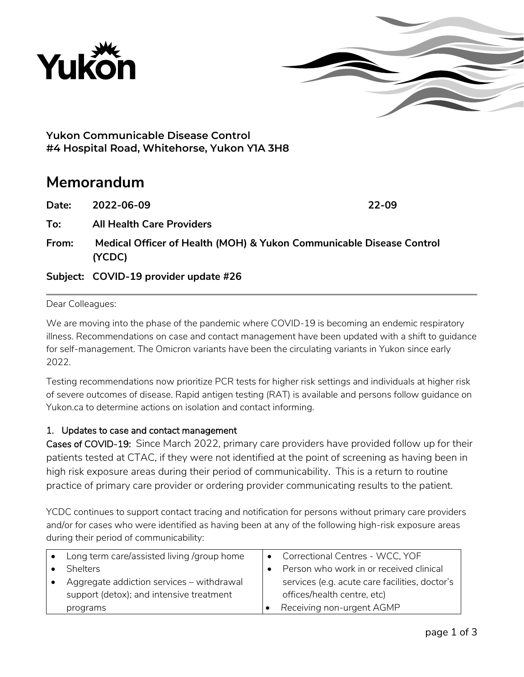



**Yukon Communicable Disease Control #4 Hospital Road, Whitehorse, Yukon Y1A 3H8**

# **Memorandum**

| Date: | 2022-06-09                                                                     | 22-09 |
|-------|--------------------------------------------------------------------------------|-------|
| To:   | <b>All Health Care Providers</b>                                               |       |
| From: | Medical Officer of Health (MOH) & Yukon Communicable Disease Control<br>(YCDC) |       |
|       | Subject: COVID-19 provider update #26                                          |       |

#### Dear Colleagues:

We are moving into the phase of the pandemic where COVID-19 is becoming an endemic respiratory illness. Recommendations on case and contact management have been updated with a shift to guidance for self-management. The Omicron variants have been the circulating variants in Yukon since early 2022.

Testing recommendations now prioritize PCR tests for higher risk settings and individuals at higher risk of severe outcomes of disease. Rapid antigen testing (RAT) is available and persons follow guidance on Yukon.ca to determine actions on isolation and contact informing.

### 1. Updates to case and contact management

Cases of COVID-19: Since March 2022, primary care providers have provided follow up for their patients tested at CTAC, if they were not identified at the point of screening as having been in high risk exposure areas during their period of communicability. This is a return to routine practice of primary care provider or ordering provider communicating results to the patient.

YCDC continues to support contact tracing and notification for persons without primary care providers and/or for cases who were identified as having been at any of the following high-risk exposure areas during their period of communicability:

| Long term care/assisted living /group home | Correctional Centres - WCC, YOF                |
|--------------------------------------------|------------------------------------------------|
| <b>Shelters</b>                            | Person who work in or received clinical        |
| Aggregate addiction services - withdrawal  | services (e.g. acute care facilities, doctor's |
| support (detox); and intensive treatment   | offices/health centre, etc)                    |
| programs                                   | Receiving non-urgent AGMP                      |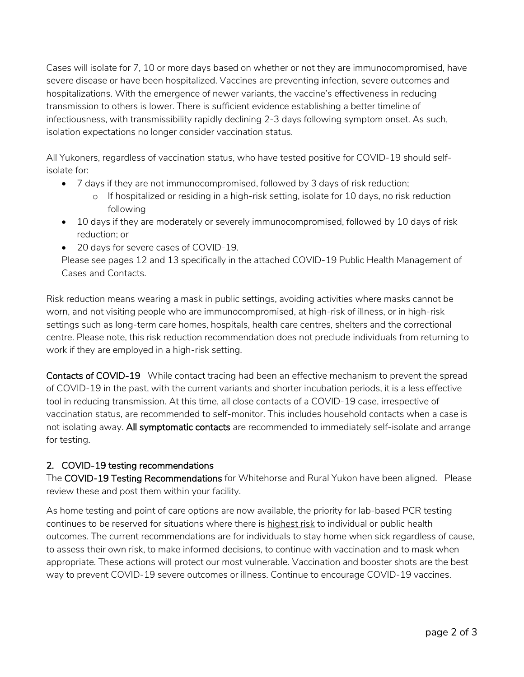Cases will isolate for 7, 10 or more days based on whether or not they are immunocompromised, have severe disease or have been hospitalized. Vaccines are preventing infection, severe outcomes and hospitalizations. With the emergence of newer variants, the vaccine's effectiveness in reducing transmission to others is lower. There is sufficient evidence establishing a better timeline of infectiousness, with transmissibility rapidly declining 2-3 days following symptom onset. As such, isolation expectations no longer consider vaccination status.

All Yukoners, regardless of vaccination status, who have tested positive for COVID-19 should selfisolate for:

- 7 days if they are not immunocompromised, followed by 3 days of risk reduction;
	- o If hospitalized or residing in a high-risk setting, isolate for 10 days, no risk reduction following
- 10 days if they are moderately or severely immunocompromised, followed by 10 days of risk reduction; or
- 20 days for severe cases of COVID-19.

Please see pages 12 and 13 specifically in the attached COVID-19 Public Health Management of Cases and Contacts.

Risk reduction means wearing a mask in public settings, avoiding activities where masks cannot be worn, and not visiting people who are immunocompromised, at high-risk of illness, or in high-risk settings such as long-term care homes, hospitals, health care centres, shelters and the correctional centre. Please note, this risk reduction recommendation does not preclude individuals from returning to work if they are employed in a high-risk setting.

Contacts of COVID-19 While contact tracing had been an effective mechanism to prevent the spread of COVID-19 in the past, with the current variants and shorter incubation periods, it is a less effective tool in reducing transmission. At this time, all close contacts of a COVID-19 case, irrespective of vaccination status, are recommended to self-monitor. This includes household contacts when a case is not isolating away. All symptomatic contacts are recommended to immediately self-isolate and arrange for testing.

## 2. COVID-19 testing recommendations

The COVID-19 Testing Recommendations for Whitehorse and Rural Yukon have been aligned. Please review these and post them within your facility.

As home testing and point of care options are now available, the priority for lab-based PCR testing continues to be reserved for situations where there is highest risk to individual or public health outcomes. The current recommendations are for individuals to stay home when sick regardless of cause, to assess their own risk, to make informed decisions, to continue with vaccination and to mask when appropriate. These actions will protect our most vulnerable. Vaccination and booster shots are the best way to prevent COVID-19 severe outcomes or illness. Continue to encourage COVID-19 vaccines.